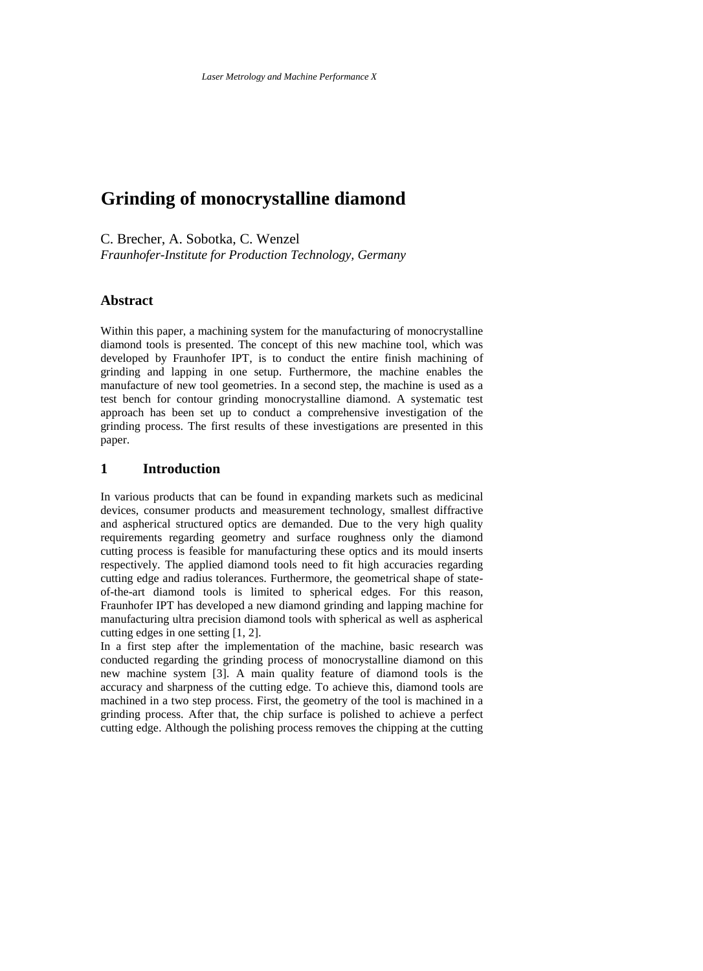# **Grinding of monocrystalline diamond**

C. Brecher, A. Sobotka, C. Wenzel *Fraunhofer-Institute for Production Technology, Germany*

# **Abstract**

Within this paper, a machining system for the manufacturing of monocrystalline diamond tools is presented. The concept of this new machine tool, which was developed by Fraunhofer IPT, is to conduct the entire finish machining of grinding and lapping in one setup. Furthermore, the machine enables the manufacture of new tool geometries. In a second step, the machine is used as a test bench for contour grinding monocrystalline diamond. A systematic test approach has been set up to conduct a comprehensive investigation of the grinding process. The first results of these investigations are presented in this paper.

### **1 Introduction**

In various products that can be found in expanding markets such as medicinal devices, consumer products and measurement technology, smallest diffractive and aspherical structured optics are demanded. Due to the very high quality requirements regarding geometry and surface roughness only the diamond cutting process is feasible for manufacturing these optics and its mould inserts respectively. The applied diamond tools need to fit high accuracies regarding cutting edge and radius tolerances. Furthermore, the geometrical shape of stateof-the-art diamond tools is limited to spherical edges. For this reason, Fraunhofer IPT has developed a new diamond grinding and lapping machine for manufacturing ultra precision diamond tools with spherical as well as aspherical cutting edges in one setting [1, 2].

In a first step after the implementation of the machine, basic research was conducted regarding the grinding process of monocrystalline diamond on this new machine system [3]. A main quality feature of diamond tools is the accuracy and sharpness of the cutting edge. To achieve this, diamond tools are machined in a two step process. First, the geometry of the tool is machined in a grinding process. After that, the chip surface is polished to achieve a perfect cutting edge. Although the polishing process removes the chipping at the cutting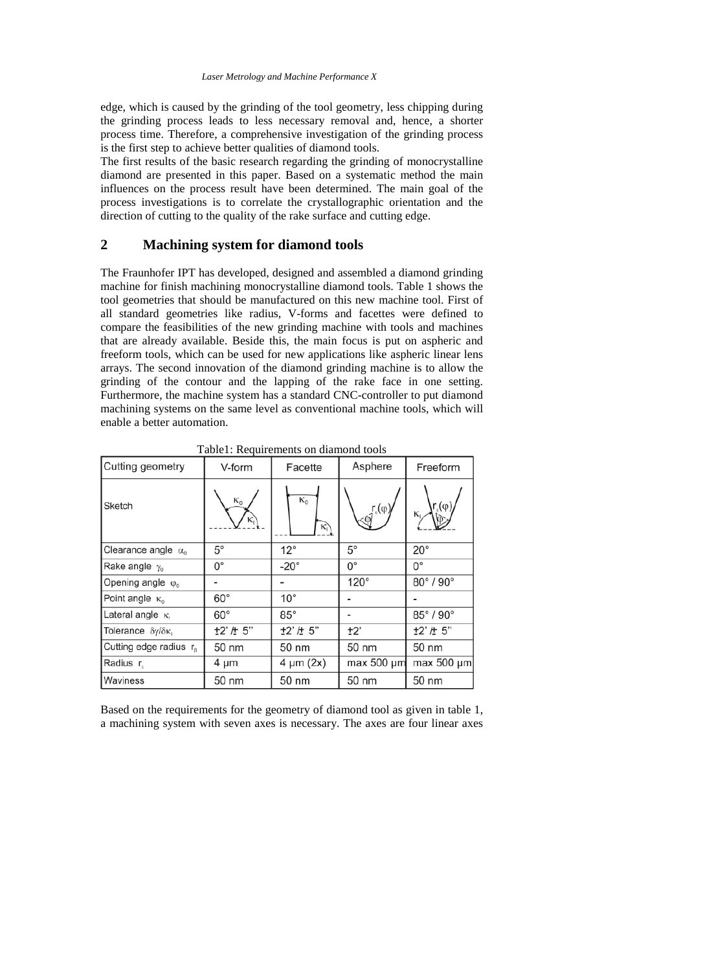edge, which is caused by the grinding of the tool geometry, less chipping during the grinding process leads to less necessary removal and, hence, a shorter process time. Therefore, a comprehensive investigation of the grinding process is the first step to achieve better qualities of diamond tools.

The first results of the basic research regarding the grinding of monocrystalline diamond are presented in this paper. Based on a systematic method the main influences on the process result have been determined. The main goal of the process investigations is to correlate the crystallographic orientation and the direction of cutting to the quality of the rake surface and cutting edge.

# **2 Machining system for diamond tools**

The Fraunhofer IPT has developed, designed and assembled a diamond grinding machine for finish machining monocrystalline diamond tools. Table 1 shows the tool geometries that should be manufactured on this new machine tool. First of all standard geometries like radius, V-forms and facettes were defined to compare the feasibilities of the new grinding machine with tools and machines that are already available. Beside this, the main focus is put on aspheric and freeform tools, which can be used for new applications like aspheric linear lens arrays. The second innovation of the diamond grinding machine is to allow the grinding of the contour and the lapping of the rake face in one setting. Furthermore, the machine system has a standard CNC-controller to put diamond machining systems on the same level as conventional machine tools, which will enable a better automation.

| Cutting geometry                   | V-form                    | Facette             | Asphere                                 | Freeform                         |  |
|------------------------------------|---------------------------|---------------------|-----------------------------------------|----------------------------------|--|
| Sketch                             | $\kappa_{\text{o}}$<br>ĸ, | $\kappa_0$<br>$K_1$ | $\int_{\Phi} \int_{\epsilon} (\varphi)$ | $\mathsf{r}_{\varepsilon}(\phi)$ |  |
| Clearance angle $\alpha_0$         | $5^{\circ}$               | $12^{\circ}$        | $5^{\circ}$                             | $20^{\circ}$                     |  |
| Rake angle $y_0$                   | $0^{\circ}$               | $-20^\circ$         | $0^{\circ}$                             | $0^{\circ}$                      |  |
| Opening angle $\varphi_0$          |                           |                     | $120^\circ$                             | $80^\circ$ / $90^\circ$          |  |
| Point angle $\kappa_0$             | $60^{\circ}$              | $10^{\circ}$        |                                         |                                  |  |
| Lateral angle $\kappa_1$           | $60^{\circ}$              | $85^{\circ}$        |                                         | $85^\circ/90^\circ$              |  |
| Tolerance δγ/δκι                   | ±2' /± 5"                 | ±2' /± 5"           | ±2'                                     | +2' / + 5"                       |  |
| Cutting edge radius r <sub>B</sub> | 50 nm                     | 50 nm               | 50 nm                                   | 50 nm                            |  |
| Radius r                           | 4 µm                      | $4 \mu m (2x)$      | $max 500 \mu m$                         | $max 500 \mu m$                  |  |
| Waviness                           | 50 nm                     | 50 nm               | 50 nm                                   | 50 nm                            |  |

Table1: Requirements on diamond tools

Based on the requirements for the geometry of diamond tool as given in table 1, a machining system with seven axes is necessary. The axes are four linear axes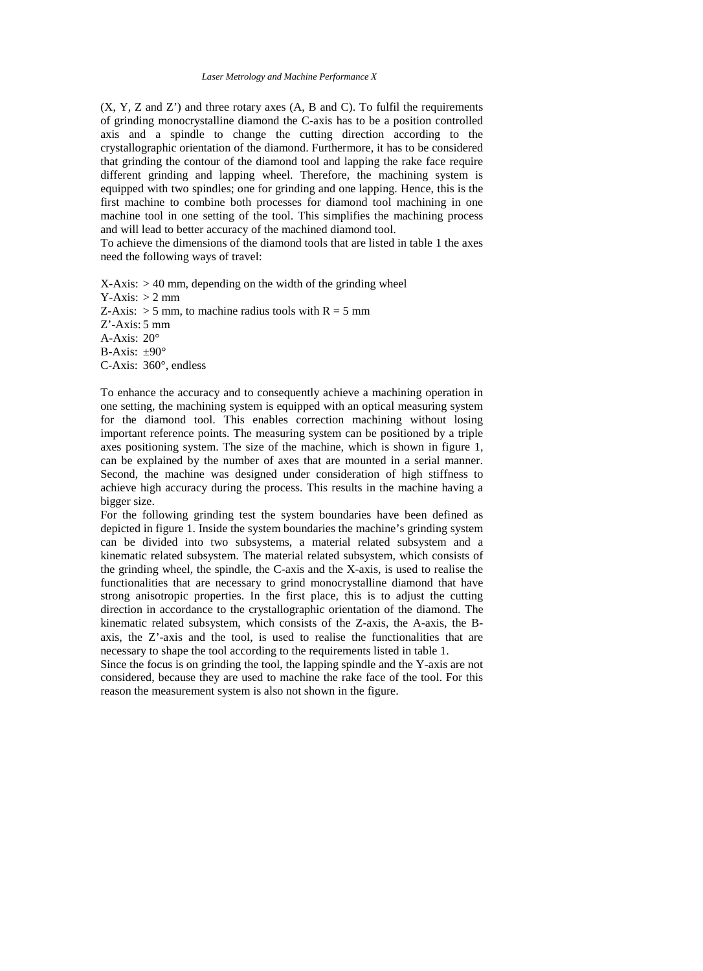#### *Laser Metrology and Machine Performance X*

 $(X, Y, Z, Z)$  and  $Z'$ ) and three rotary axes  $(A, B, Z)$  and  $C$ ). To fulfil the requirements of grinding monocrystalline diamond the C-axis has to be a position controlled axis and a spindle to change the cutting direction according to the crystallographic orientation of the diamond. Furthermore, it has to be considered that grinding the contour of the diamond tool and lapping the rake face require different grinding and lapping wheel. Therefore, the machining system is equipped with two spindles; one for grinding and one lapping. Hence, this is the first machine to combine both processes for diamond tool machining in one machine tool in one setting of the tool. This simplifies the machining process and will lead to better accuracy of the machined diamond tool.

To achieve the dimensions of the diamond tools that are listed in table 1 the axes need the following ways of travel:

 $X-Axis: > 40$  mm, depending on the width of the grinding wheel  $Y-Axis: > 2$  mm Z-Axis:  $> 5$  mm, to machine radius tools with  $R = 5$  mm Z'-Axis: 5 mm A-Axis: 20° B-Axis:  $\pm 90^\circ$ C-Axis: 360°, endless

To enhance the accuracy and to consequently achieve a machining operation in one setting, the machining system is equipped with an optical measuring system for the diamond tool. This enables correction machining without losing important reference points. The measuring system can be positioned by a triple axes positioning system. The size of the machine, which is shown in figure 1, can be explained by the number of axes that are mounted in a serial manner. Second, the machine was designed under consideration of high stiffness to achieve high accuracy during the process. This results in the machine having a bigger size.

For the following grinding test the system boundaries have been defined as depicted in figure 1. Inside the system boundaries the machine's grinding system can be divided into two subsystems, a material related subsystem and a kinematic related subsystem. The material related subsystem, which consists of the grinding wheel, the spindle, the C-axis and the X-axis, is used to realise the functionalities that are necessary to grind monocrystalline diamond that have strong anisotropic properties. In the first place, this is to adjust the cutting direction in accordance to the crystallographic orientation of the diamond. The kinematic related subsystem, which consists of the Z-axis, the A-axis, the Baxis, the Z'-axis and the tool, is used to realise the functionalities that are necessary to shape the tool according to the requirements listed in table 1.

Since the focus is on grinding the tool, the lapping spindle and the Y-axis are not considered, because they are used to machine the rake face of the tool. For this reason the measurement system is also not shown in the figure.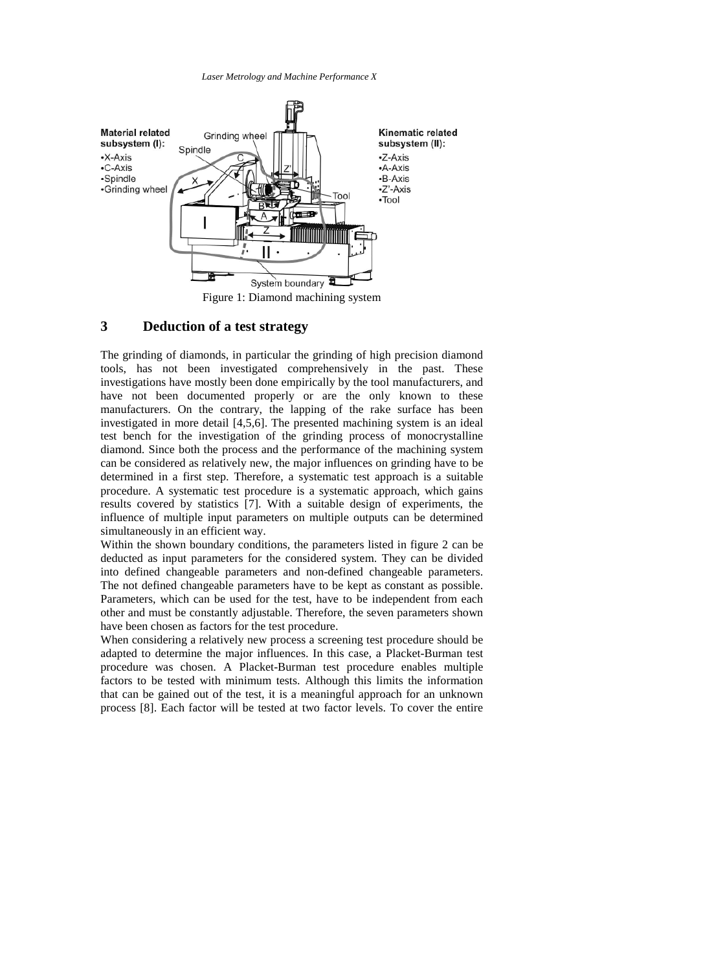*Laser Metrology and Machine Performance X*



# **3 Deduction of a test strategy**

The grinding of diamonds, in particular the grinding of high precision diamond tools, has not been investigated comprehensively in the past. These investigations have mostly been done empirically by the tool manufacturers, and have not been documented properly or are the only known to these manufacturers. On the contrary, the lapping of the rake surface has been investigated in more detail [4,5,6]. The presented machining system is an ideal test bench for the investigation of the grinding process of monocrystalline diamond. Since both the process and the performance of the machining system can be considered as relatively new, the major influences on grinding have to be determined in a first step. Therefore, a systematic test approach is a suitable procedure. A systematic test procedure is a systematic approach, which gains results covered by statistics [7]. With a suitable design of experiments, the influence of multiple input parameters on multiple outputs can be determined simultaneously in an efficient way.

Within the shown boundary conditions, the parameters listed in figure 2 can be deducted as input parameters for the considered system. They can be divided into defined changeable parameters and non-defined changeable parameters. The not defined changeable parameters have to be kept as constant as possible. Parameters, which can be used for the test, have to be independent from each other and must be constantly adjustable. Therefore, the seven parameters shown have been chosen as factors for the test procedure.

When considering a relatively new process a screening test procedure should be adapted to determine the major influences. In this case, a Placket-Burman test procedure was chosen. A Placket-Burman test procedure enables multiple factors to be tested with minimum tests. Although this limits the information that can be gained out of the test, it is a meaningful approach for an unknown process [8]. Each factor will be tested at two factor levels. To cover the entire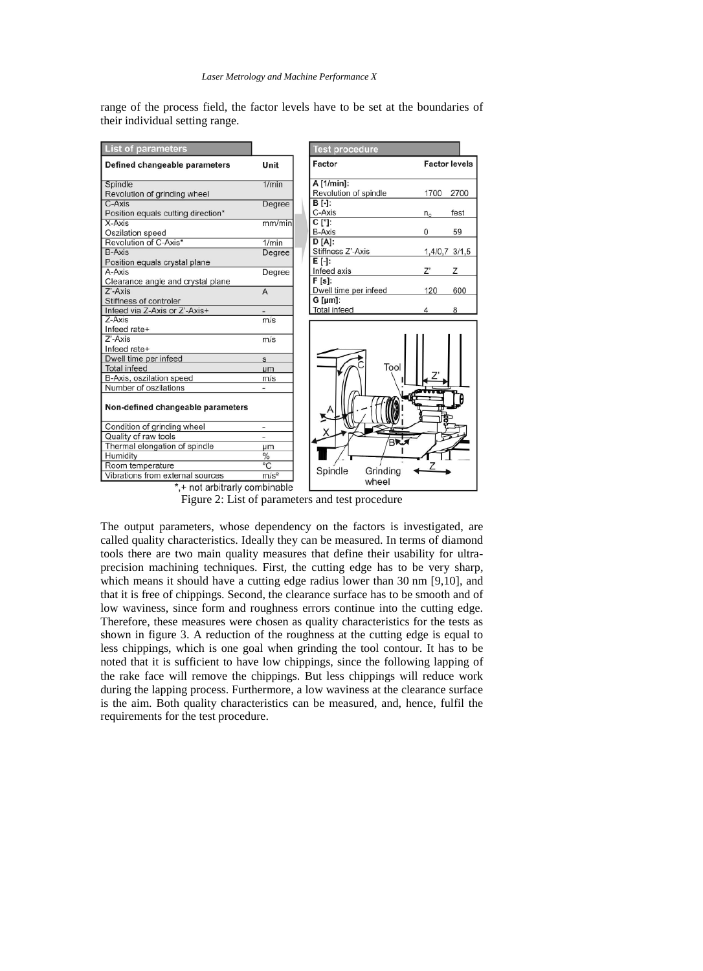range of the process field, the factor levels have to be set at the boundaries of their individual setting range.

| <b>List of parameters</b>                    |                          | <b>Test procedure</b>                  |                   |               |                      |
|----------------------------------------------|--------------------------|----------------------------------------|-------------------|---------------|----------------------|
| Defined changeable parameters                | Unit                     | Factor                                 |                   |               | <b>Factor levels</b> |
| Spindle<br>Revolution of grinding wheel      | 1/min                    | A [1/min]:<br>Revolution of spindle    |                   | 1700          | 2700                 |
| C-Axis<br>Position equals cutting direction* | Degree                   | B [-]:<br>C-Axis                       |                   | $n_c$         | fest                 |
| X-Axis<br>Oszilation speed                   | mm/min                   | $C$ [ $\degree$ ]:<br><b>B-Axis</b>    |                   | 0             | 59                   |
| Revolution of C-Axis*<br><b>B-Axis</b>       | 1/min<br>Degree          | $D[A]$ :<br>Stiffness Z'-Axis          |                   | 1,4/0,7 3/1,5 |                      |
| Position equals crystal plane<br>A-Axis      |                          | E [-]:<br>Infeed axis                  |                   | $Z^*$         | Ζ                    |
| Clearance angle and crystal plane            | Degree                   | $F[s]$ :                               |                   |               |                      |
| Z'-Axis<br>Stiffness of controler            | $\overline{A}$           | Dwell time per infeed<br>$G$ [ $µm$ ]: |                   | 120           | 600                  |
| Infeed via Z-Axis or Z'-Axis+                |                          | <b>Total infeed</b>                    |                   |               | 8                    |
| $Z-Ax$ is<br>Infeed rate+                    | m/s                      |                                        |                   |               |                      |
| Z'-Axis                                      | m/s                      |                                        |                   |               |                      |
| Infeed rate+                                 |                          |                                        |                   |               |                      |
| Dwell time per infeed                        | s                        |                                        |                   |               |                      |
| <b>Total infeed</b>                          | <b>um</b>                |                                        | Tool              |               |                      |
| B-Axis, oszilation speed                     | m/s                      |                                        |                   |               |                      |
| Number of oszilations                        |                          |                                        |                   |               |                      |
| Non-defined changeable parameters            |                          |                                        |                   |               |                      |
| Condition of grinding wheel                  | $\overline{\phantom{a}}$ |                                        |                   |               |                      |
| Quality of raw tools                         | ×,                       |                                        | BRJ               |               |                      |
| Thermal elongation of spindle                | μm                       |                                        |                   |               |                      |
| Humidity                                     | $\frac{0}{0}$            |                                        |                   |               |                      |
| Room temperature                             | $\overline{C}$           |                                        |                   |               |                      |
| Vibrations from external sources             | m/s <sup>2</sup>         | Spindle                                | Grinding<br>wheel |               |                      |
| *.+ not arbitrarly combinable                |                          |                                        |                   |               |                      |

Figure 2: List of parameters and test procedure

The output parameters, whose dependency on the factors is investigated, are called quality characteristics. Ideally they can be measured. In terms of diamond tools there are two main quality measures that define their usability for ultraprecision machining techniques. First, the cutting edge has to be very sharp, which means it should have a cutting edge radius lower than 30 nm [9,10], and that it is free of chippings. Second, the clearance surface has to be smooth and of low waviness, since form and roughness errors continue into the cutting edge. Therefore, these measures were chosen as quality characteristics for the tests as shown in figure 3. A reduction of the roughness at the cutting edge is equal to less chippings, which is one goal when grinding the tool contour. It has to be noted that it is sufficient to have low chippings, since the following lapping of the rake face will remove the chippings. But less chippings will reduce work during the lapping process. Furthermore, a low waviness at the clearance surface is the aim. Both quality characteristics can be measured, and, hence, fulfil the requirements for the test procedure.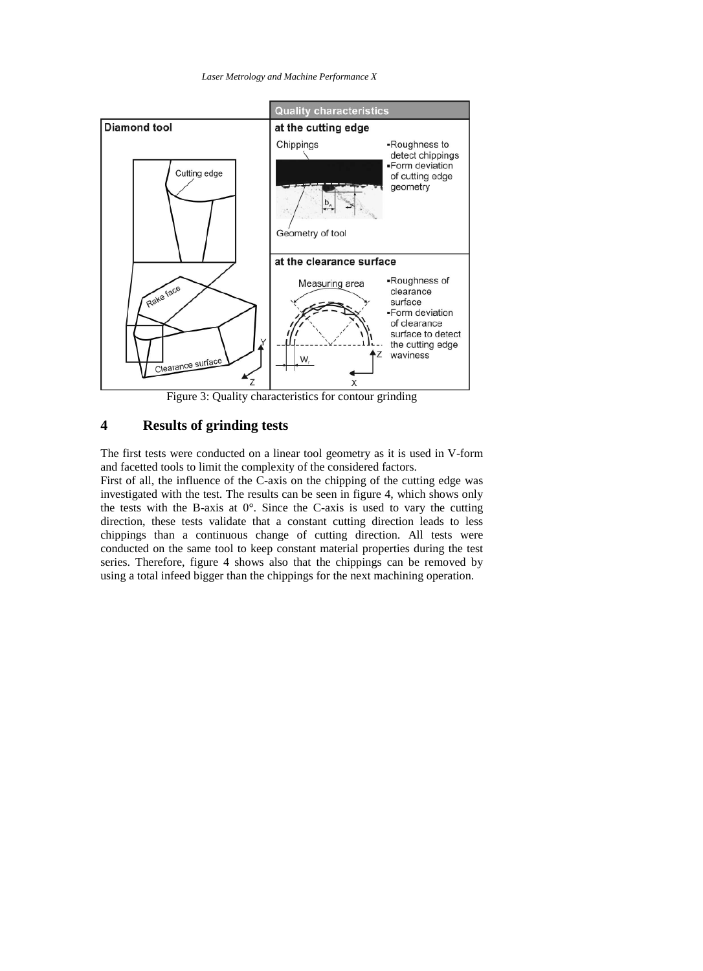*Laser Metrology and Machine Performance X*



Figure 3: Quality characteristics for contour grinding

# **4 Results of grinding tests**

The first tests were conducted on a linear tool geometry as it is used in V-form and facetted tools to limit the complexity of the considered factors.

First of all, the influence of the C-axis on the chipping of the cutting edge was investigated with the test. The results can be seen in figure 4, which shows only the tests with the B-axis at  $0^\circ$ . Since the C-axis is used to vary the cutting direction, these tests validate that a constant cutting direction leads to less chippings than a continuous change of cutting direction. All tests were conducted on the same tool to keep constant material properties during the test series. Therefore, figure 4 shows also that the chippings can be removed by using a total infeed bigger than the chippings for the next machining operation.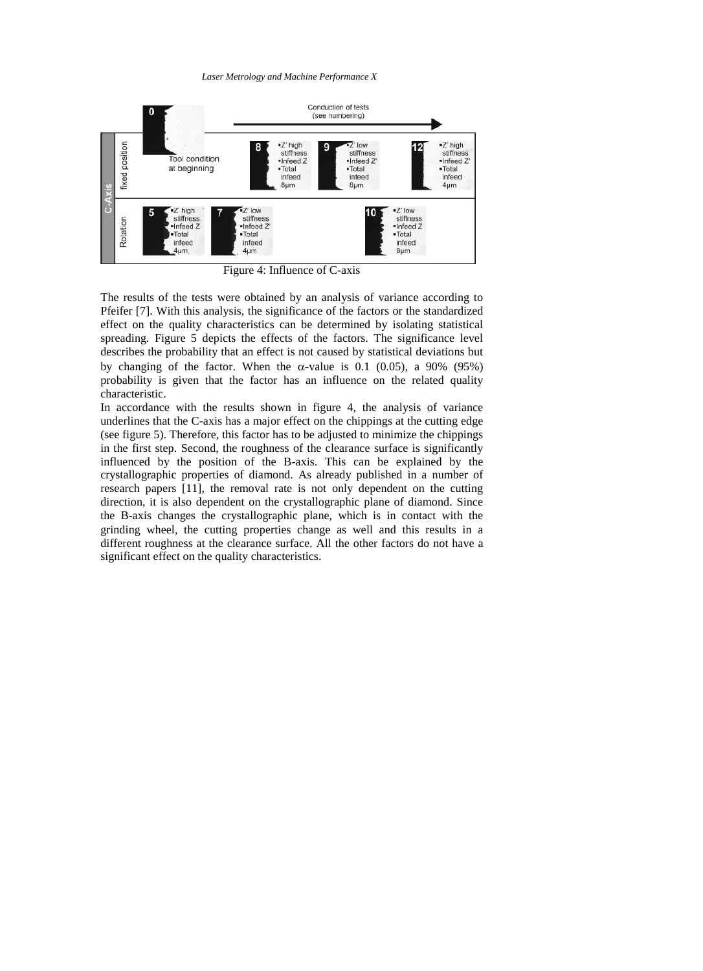#### *Laser Metrology and Machine Performance X*



Figure 4: Influence of C-axis

The results of the tests were obtained by an analysis of variance according to Pfeifer [7]. With this analysis, the significance of the factors or the standardized effect on the quality characteristics can be determined by isolating statistical spreading. Figure 5 depicts the effects of the factors. The significance level describes the probability that an effect is not caused by statistical deviations but by changing of the factor. When the  $\alpha$ -value is 0.1 (0.05), a 90% (95%) probability is given that the factor has an influence on the related quality characteristic.

In accordance with the results shown in figure 4, the analysis of variance underlines that the C-axis has a major effect on the chippings at the cutting edge (see figure 5). Therefore, this factor has to be adjusted to minimize the chippings in the first step. Second, the roughness of the clearance surface is significantly influenced by the position of the B-axis. This can be explained by the crystallographic properties of diamond. As already published in a number of research papers [11], the removal rate is not only dependent on the cutting direction, it is also dependent on the crystallographic plane of diamond. Since the B-axis changes the crystallographic plane, which is in contact with the grinding wheel, the cutting properties change as well and this results in a different roughness at the clearance surface. All the other factors do not have a significant effect on the quality characteristics.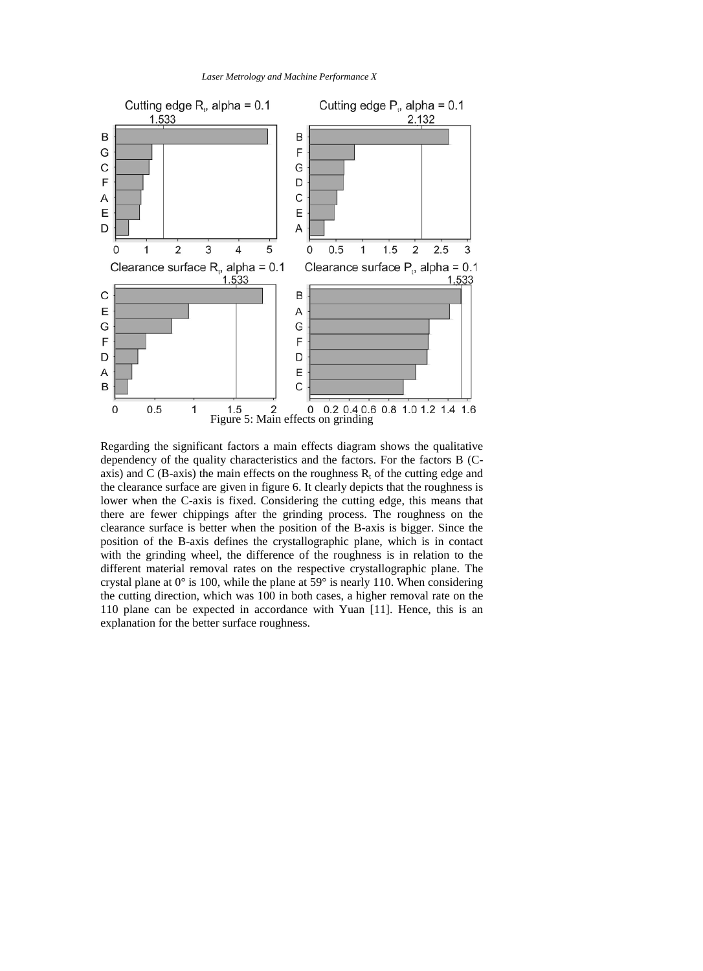



Regarding the significant factors a main effects diagram shows the qualitative dependency of the quality characteristics and the factors. For the factors B (Caxis) and  $\dot{C}$  (B-axis) the main effects on the roughness  $R_t$  of the cutting edge and the clearance surface are given in figure 6. It clearly depicts that the roughness is lower when the C-axis is fixed. Considering the cutting edge, this means that there are fewer chippings after the grinding process. The roughness on the clearance surface is better when the position of the B-axis is bigger. Since the position of the B-axis defines the crystallographic plane, which is in contact with the grinding wheel, the difference of the roughness is in relation to the different material removal rates on the respective crystallographic plane. The crystal plane at  $0^\circ$  is 100, while the plane at  $59^\circ$  is nearly 110. When considering the cutting direction, which was 100 in both cases, a higher removal rate on the 110 plane can be expected in accordance with Yuan [11]. Hence, this is an explanation for the better surface roughness.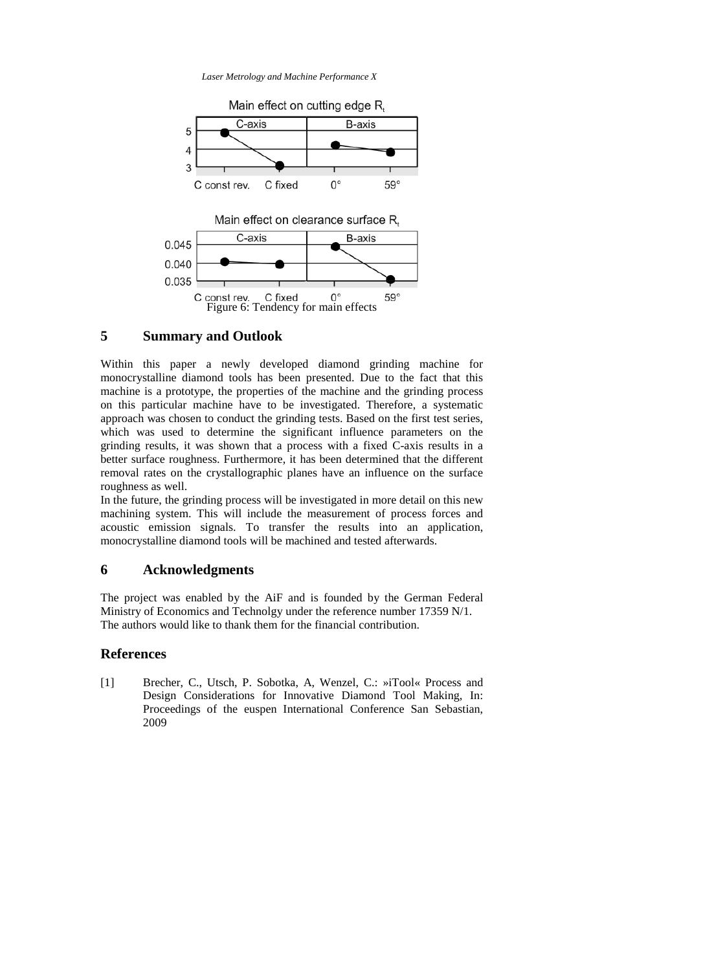*Laser Metrology and Machine Performance X*



# **5 Summary and Outlook**

Within this paper a newly developed diamond grinding machine for monocrystalline diamond tools has been presented. Due to the fact that this machine is a prototype, the properties of the machine and the grinding process on this particular machine have to be investigated. Therefore, a systematic approach was chosen to conduct the grinding tests. Based on the first test series, which was used to determine the significant influence parameters on the grinding results, it was shown that a process with a fixed C-axis results in a better surface roughness. Furthermore, it has been determined that the different removal rates on the crystallographic planes have an influence on the surface roughness as well.

In the future, the grinding process will be investigated in more detail on this new machining system. This will include the measurement of process forces and acoustic emission signals. To transfer the results into an application, monocrystalline diamond tools will be machined and tested afterwards.

#### **6 Acknowledgments**

The project was enabled by the AiF and is founded by the German Federal Ministry of Economics and Technolgy under the reference number 17359 N/1. The authors would like to thank them for the financial contribution.

### **References**

[1] Brecher, C., Utsch, P. Sobotka, A, Wenzel, C.: »iTool« Process and Design Considerations for Innovative Diamond Tool Making, In: Proceedings of the euspen International Conference San Sebastian, 2009